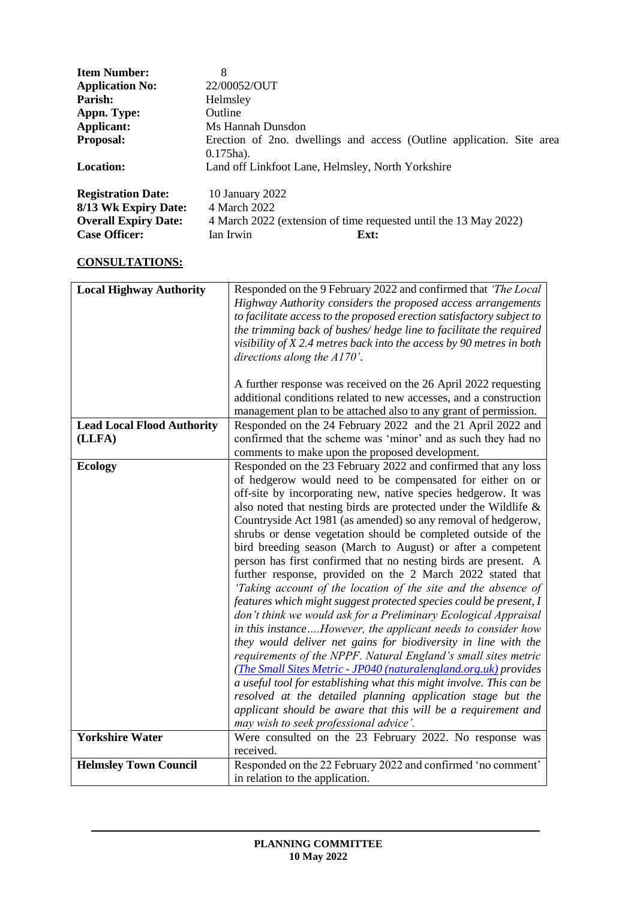| <b>Item Number:</b>                                                                                      | 8                                                                                                                        |
|----------------------------------------------------------------------------------------------------------|--------------------------------------------------------------------------------------------------------------------------|
| <b>Application No:</b>                                                                                   | 22/00052/OUT                                                                                                             |
| Parish:                                                                                                  | Helmsley                                                                                                                 |
| Appn. Type:                                                                                              | Outline                                                                                                                  |
| Applicant:                                                                                               | Ms Hannah Dunsdon                                                                                                        |
| <b>Proposal:</b>                                                                                         | Erection of 2no. dwellings and access (Outline application. Site area                                                    |
|                                                                                                          | $0.175$ ha).                                                                                                             |
| Location:                                                                                                | Land off Linkfoot Lane, Helmsley, North Yorkshire                                                                        |
| <b>Registration Date:</b><br>8/13 Wk Expiry Date:<br><b>Overall Expiry Date:</b><br><b>Case Officer:</b> | 10 January 2022<br>4 March 2022<br>4 March 2022 (extension of time requested until the 13 May 2022)<br>Ian Irwin<br>Ext: |

# **CONSULTATIONS:**

| <b>Local Highway Authority</b>    | Responded on the 9 February 2022 and confirmed that 'The Local         |
|-----------------------------------|------------------------------------------------------------------------|
|                                   | Highway Authority considers the proposed access arrangements           |
|                                   | to facilitate access to the proposed erection satisfactory subject to  |
|                                   | the trimming back of bushes/hedge line to facilitate the required      |
|                                   | visibility of $X$ 2.4 metres back into the access by 90 metres in both |
|                                   | directions along the $A170'$ .                                         |
|                                   |                                                                        |
|                                   | A further response was received on the 26 April 2022 requesting        |
|                                   | additional conditions related to new accesses, and a construction      |
|                                   | management plan to be attached also to any grant of permission.        |
| <b>Lead Local Flood Authority</b> | Responded on the 24 February 2022 and the 21 April 2022 and            |
| (LLFA)                            | confirmed that the scheme was 'minor' and as such they had no          |
|                                   | comments to make upon the proposed development.                        |
| <b>Ecology</b>                    | Responded on the 23 February 2022 and confirmed that any loss          |
|                                   | of hedgerow would need to be compensated for either on or              |
|                                   | off-site by incorporating new, native species hedgerow. It was         |
|                                   | also noted that nesting birds are protected under the Wildlife &       |
|                                   | Countryside Act 1981 (as amended) so any removal of hedgerow,          |
|                                   | shrubs or dense vegetation should be completed outside of the          |
|                                   | bird breeding season (March to August) or after a competent            |
|                                   | person has first confirmed that no nesting birds are present. A        |
|                                   | further response, provided on the 2 March 2022 stated that             |
|                                   | 'Taking account of the location of the site and the absence of         |
|                                   | features which might suggest protected species could be present, I     |
|                                   | don't think we would ask for a Preliminary Ecological Appraisal        |
|                                   | in this instanceHowever, the applicant needs to consider how           |
|                                   | they would deliver net gains for biodiversity in line with the         |
|                                   | requirements of the NPPF. Natural England's small sites metric         |
|                                   | (The Small Sites Metric - JP040 (naturalengland.org.uk) provides       |
|                                   | a useful tool for establishing what this might involve. This can be    |
|                                   | resolved at the detailed planning application stage but the            |
|                                   | applicant should be aware that this will be a requirement and          |
|                                   | may wish to seek professional advice'.                                 |
| <b>Yorkshire Water</b>            | Were consulted on the 23 February 2022. No response was                |
|                                   | received.                                                              |
| <b>Helmsley Town Council</b>      | Responded on the 22 February 2022 and confirmed 'no comment'           |
|                                   | in relation to the application.                                        |
|                                   |                                                                        |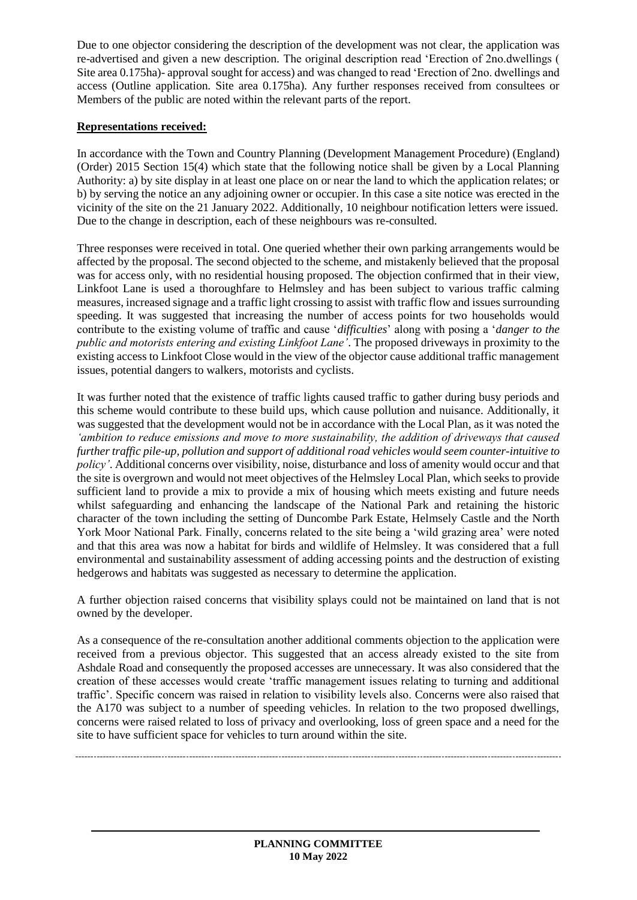Due to one objector considering the description of the development was not clear, the application was re-advertised and given a new description. The original description read 'Erection of 2no.dwellings ( Site area 0.175ha)- approval sought for access) and was changed to read 'Erection of 2no. dwellings and access (Outline application. Site area 0.175ha). Any further responses received from consultees or Members of the public are noted within the relevant parts of the report.

## **Representations received:**

In accordance with the Town and Country Planning (Development Management Procedure) (England) (Order) 2015 Section 15(4) which state that the following notice shall be given by a Local Planning Authority: a) by site display in at least one place on or near the land to which the application relates; or b) by serving the notice an any adjoining owner or occupier. In this case a site notice was erected in the vicinity of the site on the 21 January 2022. Additionally, 10 neighbour notification letters were issued. Due to the change in description, each of these neighbours was re-consulted.

Three responses were received in total. One queried whether their own parking arrangements would be affected by the proposal. The second objected to the scheme, and mistakenly believed that the proposal was for access only, with no residential housing proposed. The objection confirmed that in their view, Linkfoot Lane is used a thoroughfare to Helmsley and has been subject to various traffic calming measures, increased signage and a traffic light crossing to assist with traffic flow and issues surrounding speeding. It was suggested that increasing the number of access points for two households would contribute to the existing volume of traffic and cause '*difficulties*' along with posing a '*danger to the public and motorists entering and existing Linkfoot Lane'*. The proposed driveways in proximity to the existing access to Linkfoot Close would in the view of the objector cause additional traffic management issues, potential dangers to walkers, motorists and cyclists.

It was further noted that the existence of traffic lights caused traffic to gather during busy periods and this scheme would contribute to these build ups, which cause pollution and nuisance. Additionally, it was suggested that the development would not be in accordance with the Local Plan, as it was noted the *'ambition to reduce emissions and move to more sustainability, the addition of driveways that caused further traffic pile-up, pollution and support of additional road vehicles would seem counter-intuitive to policy'*. Additional concerns over visibility, noise, disturbance and loss of amenity would occur and that the site is overgrown and would not meet objectives of the Helmsley Local Plan, which seeks to provide sufficient land to provide a mix to provide a mix of housing which meets existing and future needs whilst safeguarding and enhancing the landscape of the National Park and retaining the historic character of the town including the setting of Duncombe Park Estate, Helmsely Castle and the North York Moor National Park. Finally, concerns related to the site being a 'wild grazing area' were noted and that this area was now a habitat for birds and wildlife of Helmsley. It was considered that a full environmental and sustainability assessment of adding accessing points and the destruction of existing hedgerows and habitats was suggested as necessary to determine the application.

A further objection raised concerns that visibility splays could not be maintained on land that is not owned by the developer.

As a consequence of the re-consultation another additional comments objection to the application were received from a previous objector. This suggested that an access already existed to the site from Ashdale Road and consequently the proposed accesses are unnecessary. It was also considered that the creation of these accesses would create 'traffic management issues relating to turning and additional traffic'. Specific concern was raised in relation to visibility levels also. Concerns were also raised that the A170 was subject to a number of speeding vehicles. In relation to the two proposed dwellings, concerns were raised related to loss of privacy and overlooking, loss of green space and a need for the site to have sufficient space for vehicles to turn around within the site.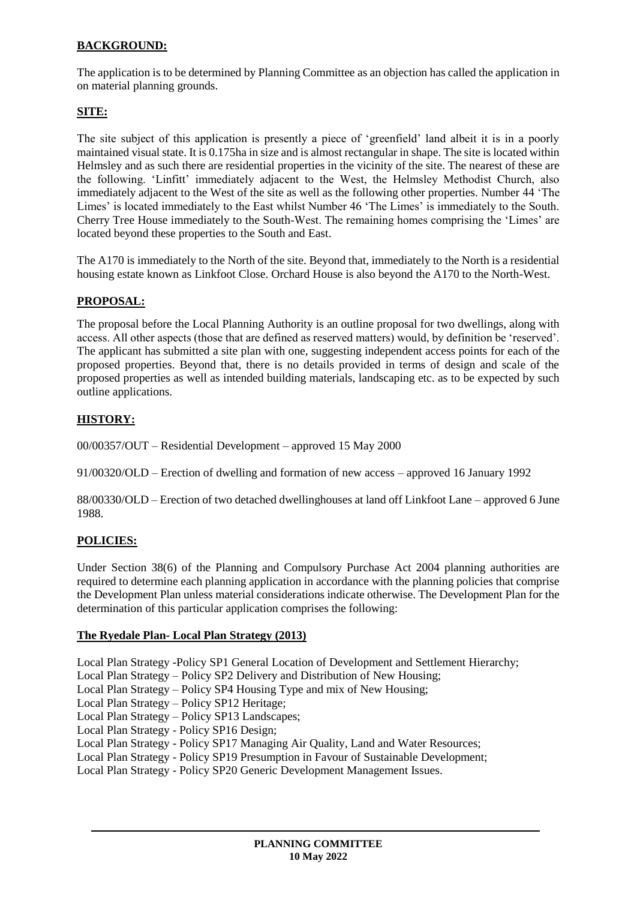# **BACKGROUND:**

The application is to be determined by Planning Committee as an objection has called the application in on material planning grounds.

## **SITE:**

The site subject of this application is presently a piece of 'greenfield' land albeit it is in a poorly maintained visual state. It is 0.175ha in size and is almost rectangular in shape. The site is located within Helmsley and as such there are residential properties in the vicinity of the site. The nearest of these are the following. 'Linfitt' immediately adjacent to the West, the Helmsley Methodist Church, also immediately adjacent to the West of the site as well as the following other properties. Number 44 'The Limes' is located immediately to the East whilst Number 46 'The Limes' is immediately to the South. Cherry Tree House immediately to the South-West. The remaining homes comprising the 'Limes' are located beyond these properties to the South and East.

The A170 is immediately to the North of the site. Beyond that, immediately to the North is a residential housing estate known as Linkfoot Close. Orchard House is also beyond the A170 to the North-West.

### **PROPOSAL:**

The proposal before the Local Planning Authority is an outline proposal for two dwellings, along with access. All other aspects (those that are defined as reserved matters) would, by definition be 'reserved'. The applicant has submitted a site plan with one, suggesting independent access points for each of the proposed properties. Beyond that, there is no details provided in terms of design and scale of the proposed properties as well as intended building materials, landscaping etc. as to be expected by such outline applications.

### **HISTORY:**

00/00357/OUT – Residential Development – approved 15 May 2000

91/00320/OLD – Erection of dwelling and formation of new access – approved 16 January 1992

88/00330/OLD – Erection of two detached dwellinghouses at land off Linkfoot Lane – approved 6 June 1988.

#### **POLICIES:**

Under Section 38(6) of the Planning and Compulsory Purchase Act 2004 planning authorities are required to determine each planning application in accordance with the planning policies that comprise the Development Plan unless material considerations indicate otherwise. The Development Plan for the determination of this particular application comprises the following:

#### **The Ryedale Plan- Local Plan Strategy (2013)**

Local Plan Strategy -Policy SP1 General Location of Development and Settlement Hierarchy;

Local Plan Strategy – Policy SP2 Delivery and Distribution of New Housing;

Local Plan Strategy – Policy SP4 Housing Type and mix of New Housing;

Local Plan Strategy – Policy SP12 Heritage;

Local Plan Strategy – Policy SP13 Landscapes;

Local Plan Strategy - Policy SP16 Design;

Local Plan Strategy - Policy SP17 Managing Air Quality, Land and Water Resources;

Local Plan Strategy - Policy SP19 Presumption in Favour of Sustainable Development;

Local Plan Strategy - Policy SP20 Generic Development Management Issues.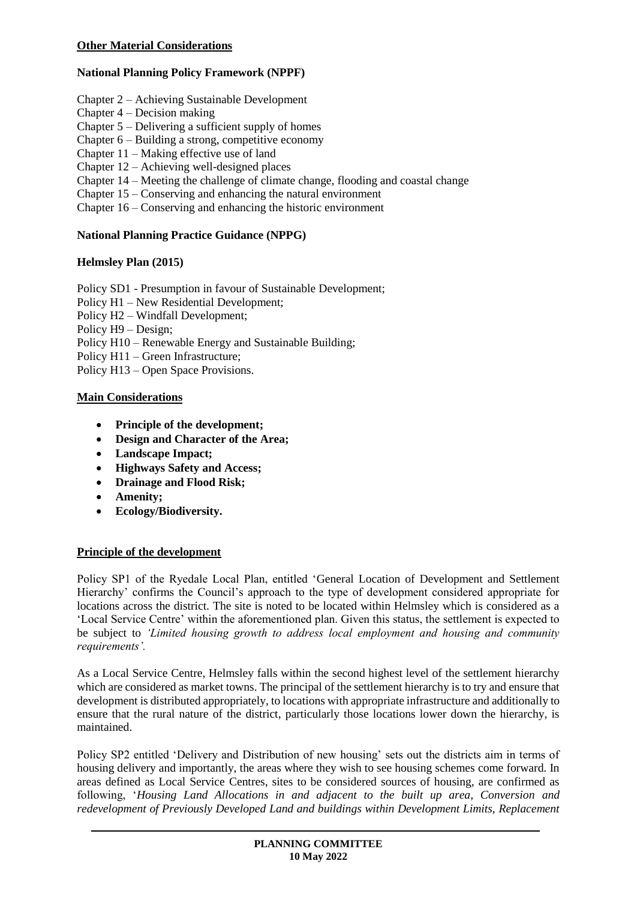### **National Planning Policy Framework (NPPF)**

- Chapter 2 Achieving Sustainable Development
- Chapter 4 Decision making
- Chapter 5 Delivering a sufficient supply of homes
- Chapter 6 Building a strong, competitive economy
- Chapter 11 Making effective use of land
- Chapter 12 Achieving well-designed places
- Chapter 14 Meeting the challenge of climate change, flooding and coastal change
- Chapter 15 Conserving and enhancing the natural environment

Chapter 16 – Conserving and enhancing the historic environment

### **National Planning Practice Guidance (NPPG)**

#### **Helmsley Plan (2015)**

Policy SD1 - Presumption in favour of Sustainable Development;

- Policy H1 New Residential Development;
- Policy H2 Windfall Development;
- Policy H9 Design;
- Policy H10 Renewable Energy and Sustainable Building;

Policy H11 – Green Infrastructure;

Policy H13 – Open Space Provisions.

#### **Main Considerations**

- **Principle of the development;**
- **Design and Character of the Area;**
- **Landscape Impact;**
- **Highways Safety and Access;**
- **Drainage and Flood Risk;**
- **Amenity;**
- **Ecology/Biodiversity.**

#### **Principle of the development**

Policy SP1 of the Ryedale Local Plan, entitled 'General Location of Development and Settlement Hierarchy' confirms the Council's approach to the type of development considered appropriate for locations across the district. The site is noted to be located within Helmsley which is considered as a 'Local Service Centre' within the aforementioned plan. Given this status, the settlement is expected to be subject to *'Limited housing growth to address local employment and housing and community requirements'.*

As a Local Service Centre, Helmsley falls within the second highest level of the settlement hierarchy which are considered as market towns. The principal of the settlement hierarchy is to try and ensure that development is distributed appropriately, to locations with appropriate infrastructure and additionally to ensure that the rural nature of the district, particularly those locations lower down the hierarchy, is maintained.

Policy SP2 entitled 'Delivery and Distribution of new housing' sets out the districts aim in terms of housing delivery and importantly, the areas where they wish to see housing schemes come forward. In areas defined as Local Service Centres, sites to be considered sources of housing, are confirmed as following, '*Housing Land Allocations in and adjacent to the built up area, Conversion and redevelopment of Previously Developed Land and buildings within Development Limits, Replacement*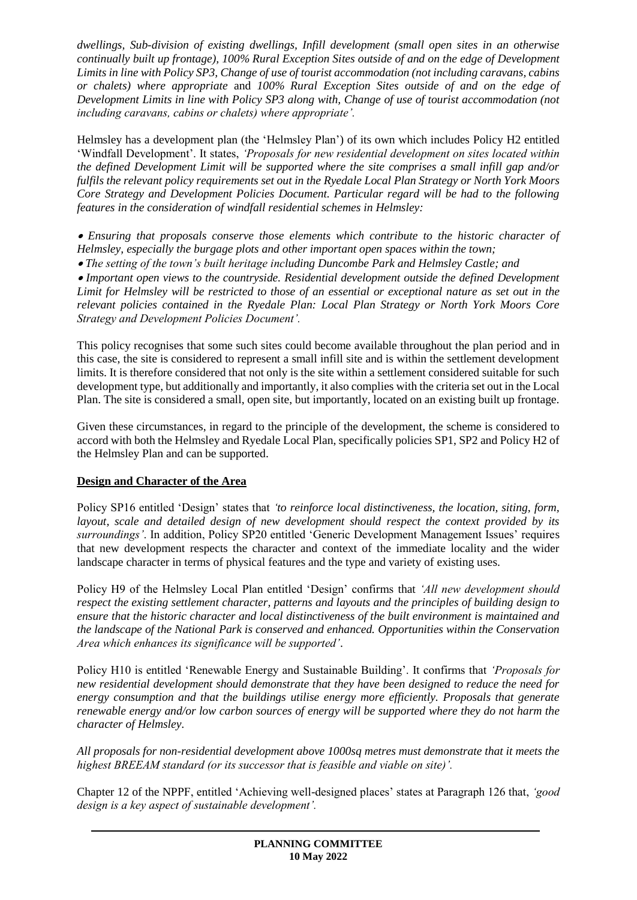*dwellings, Sub-division of existing dwellings, Infill development (small open sites in an otherwise continually built up frontage), 100% Rural Exception Sites outside of and on the edge of Development Limits in line with Policy SP3, Change of use of tourist accommodation (not including caravans, cabins or chalets) where appropriate* and *100% Rural Exception Sites outside of and on the edge of Development Limits in line with Policy SP3 along with, Change of use of tourist accommodation (not including caravans, cabins or chalets) where appropriate'.*

Helmsley has a development plan (the 'Helmsley Plan') of its own which includes Policy H2 entitled 'Windfall Development'. It states, *'Proposals for new residential development on sites located within the defined Development Limit will be supported where the site comprises a small infill gap and/or fulfils the relevant policy requirements set out in the Ryedale Local Plan Strategy or North York Moors Core Strategy and Development Policies Document. Particular regard will be had to the following features in the consideration of windfall residential schemes in Helmsley:* 

 *Ensuring that proposals conserve those elements which contribute to the historic character of Helmsley, especially the burgage plots and other important open spaces within the town;* 

*The setting of the town's built heritage including Duncombe Park and Helmsley Castle; and* 

 *Important open views to the countryside. Residential development outside the defined Development Limit for Helmsley will be restricted to those of an essential or exceptional nature as set out in the relevant policies contained in the Ryedale Plan: Local Plan Strategy or North York Moors Core Strategy and Development Policies Document'.*

This policy recognises that some such sites could become available throughout the plan period and in this case, the site is considered to represent a small infill site and is within the settlement development limits. It is therefore considered that not only is the site within a settlement considered suitable for such development type, but additionally and importantly, it also complies with the criteria set out in the Local Plan. The site is considered a small, open site, but importantly, located on an existing built up frontage.

Given these circumstances, in regard to the principle of the development, the scheme is considered to accord with both the Helmsley and Ryedale Local Plan, specifically policies SP1, SP2 and Policy H2 of the Helmsley Plan and can be supported.

### **Design and Character of the Area**

Policy SP16 entitled 'Design' states that *'to reinforce local distinctiveness, the location, siting, form, layout, scale and detailed design of new development should respect the context provided by its surroundings'*. In addition, Policy SP20 entitled 'Generic Development Management Issues' requires that new development respects the character and context of the immediate locality and the wider landscape character in terms of physical features and the type and variety of existing uses.

Policy H9 of the Helmsley Local Plan entitled 'Design' confirms that *'All new development should respect the existing settlement character, patterns and layouts and the principles of building design to ensure that the historic character and local distinctiveness of the built environment is maintained and the landscape of the National Park is conserved and enhanced. Opportunities within the Conservation Area which enhances its significance will be supported'*.

Policy H10 is entitled 'Renewable Energy and Sustainable Building'. It confirms that *'Proposals for new residential development should demonstrate that they have been designed to reduce the need for energy consumption and that the buildings utilise energy more efficiently. Proposals that generate renewable energy and/or low carbon sources of energy will be supported where they do not harm the character of Helmsley.* 

*All proposals for non-residential development above 1000sq metres must demonstrate that it meets the highest BREEAM standard (or its successor that is feasible and viable on site)'.*

Chapter 12 of the NPPF, entitled 'Achieving well-designed places' states at Paragraph 126 that, *'good design is a key aspect of sustainable development'.*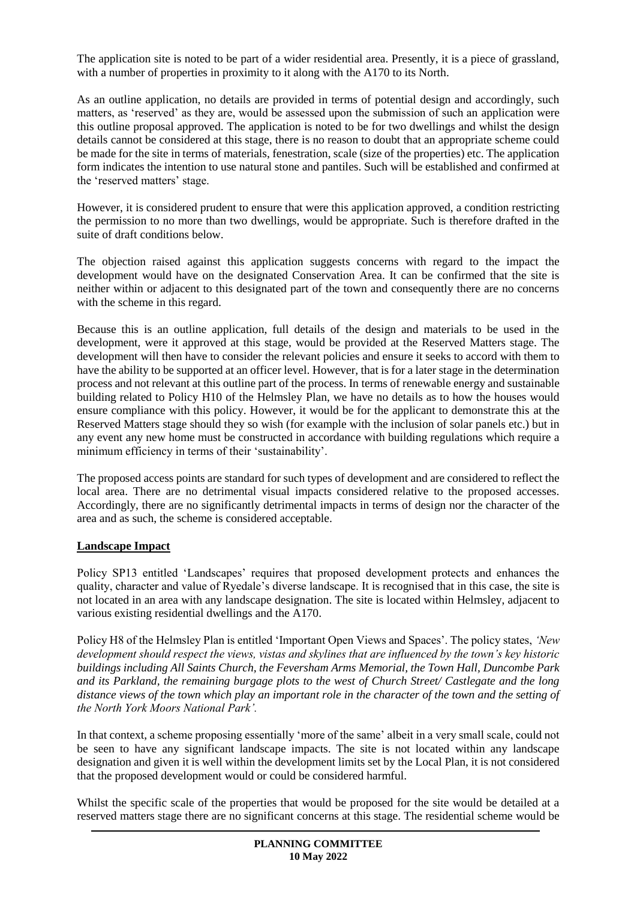The application site is noted to be part of a wider residential area. Presently, it is a piece of grassland, with a number of properties in proximity to it along with the A170 to its North.

As an outline application, no details are provided in terms of potential design and accordingly, such matters, as 'reserved' as they are, would be assessed upon the submission of such an application were this outline proposal approved. The application is noted to be for two dwellings and whilst the design details cannot be considered at this stage, there is no reason to doubt that an appropriate scheme could be made for the site in terms of materials, fenestration, scale (size of the properties) etc. The application form indicates the intention to use natural stone and pantiles. Such will be established and confirmed at the 'reserved matters' stage.

However, it is considered prudent to ensure that were this application approved, a condition restricting the permission to no more than two dwellings, would be appropriate. Such is therefore drafted in the suite of draft conditions below.

The objection raised against this application suggests concerns with regard to the impact the development would have on the designated Conservation Area. It can be confirmed that the site is neither within or adjacent to this designated part of the town and consequently there are no concerns with the scheme in this regard.

Because this is an outline application, full details of the design and materials to be used in the development, were it approved at this stage, would be provided at the Reserved Matters stage. The development will then have to consider the relevant policies and ensure it seeks to accord with them to have the ability to be supported at an officer level. However, that is for a later stage in the determination process and not relevant at this outline part of the process. In terms of renewable energy and sustainable building related to Policy H10 of the Helmsley Plan, we have no details as to how the houses would ensure compliance with this policy. However, it would be for the applicant to demonstrate this at the Reserved Matters stage should they so wish (for example with the inclusion of solar panels etc.) but in any event any new home must be constructed in accordance with building regulations which require a minimum efficiency in terms of their 'sustainability'.

The proposed access points are standard for such types of development and are considered to reflect the local area. There are no detrimental visual impacts considered relative to the proposed accesses. Accordingly, there are no significantly detrimental impacts in terms of design nor the character of the area and as such, the scheme is considered acceptable.

### **Landscape Impact**

Policy SP13 entitled 'Landscapes' requires that proposed development protects and enhances the quality, character and value of Ryedale's diverse landscape. It is recognised that in this case, the site is not located in an area with any landscape designation. The site is located within Helmsley, adjacent to various existing residential dwellings and the A170.

Policy H8 of the Helmsley Plan is entitled 'Important Open Views and Spaces'. The policy states, *'New development should respect the views, vistas and skylines that are influenced by the town's key historic buildings including All Saints Church, the Feversham Arms Memorial, the Town Hall, Duncombe Park and its Parkland, the remaining burgage plots to the west of Church Street/ Castlegate and the long distance views of the town which play an important role in the character of the town and the setting of the North York Moors National Park'.*

In that context, a scheme proposing essentially 'more of the same' albeit in a very small scale, could not be seen to have any significant landscape impacts. The site is not located within any landscape designation and given it is well within the development limits set by the Local Plan, it is not considered that the proposed development would or could be considered harmful.

Whilst the specific scale of the properties that would be proposed for the site would be detailed at a reserved matters stage there are no significant concerns at this stage. The residential scheme would be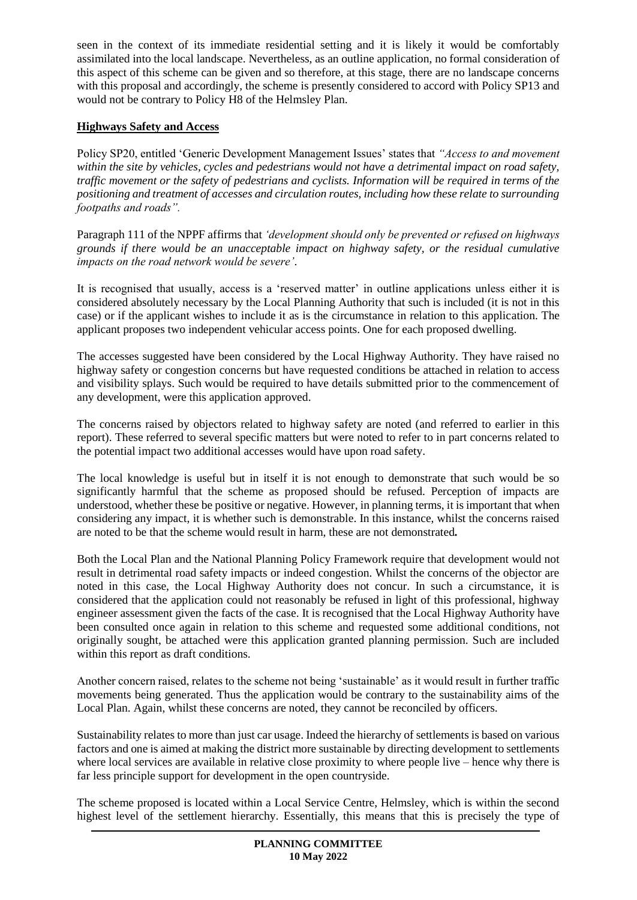seen in the context of its immediate residential setting and it is likely it would be comfortably assimilated into the local landscape. Nevertheless, as an outline application, no formal consideration of this aspect of this scheme can be given and so therefore, at this stage, there are no landscape concerns with this proposal and accordingly, the scheme is presently considered to accord with Policy SP13 and would not be contrary to Policy H8 of the Helmsley Plan.

# **Highways Safety and Access**

Policy SP20, entitled 'Generic Development Management Issues' states that *"Access to and movement within the site by vehicles, cycles and pedestrians would not have a detrimental impact on road safety, traffic movement or the safety of pedestrians and cyclists. Information will be required in terms of the positioning and treatment of accesses and circulation routes, including how these relate to surrounding footpaths and roads".*

Paragraph 111 of the NPPF affirms that *'development should only be prevented or refused on highways grounds if there would be an unacceptable impact on highway safety, or the residual cumulative impacts on the road network would be severe'*.

It is recognised that usually, access is a 'reserved matter' in outline applications unless either it is considered absolutely necessary by the Local Planning Authority that such is included (it is not in this case) or if the applicant wishes to include it as is the circumstance in relation to this application. The applicant proposes two independent vehicular access points. One for each proposed dwelling.

The accesses suggested have been considered by the Local Highway Authority. They have raised no highway safety or congestion concerns but have requested conditions be attached in relation to access and visibility splays. Such would be required to have details submitted prior to the commencement of any development, were this application approved.

The concerns raised by objectors related to highway safety are noted (and referred to earlier in this report). These referred to several specific matters but were noted to refer to in part concerns related to the potential impact two additional accesses would have upon road safety.

The local knowledge is useful but in itself it is not enough to demonstrate that such would be so significantly harmful that the scheme as proposed should be refused. Perception of impacts are understood, whether these be positive or negative. However, in planning terms, it is important that when considering any impact, it is whether such is demonstrable. In this instance, whilst the concerns raised are noted to be that the scheme would result in harm, these are not demonstrated*.* 

Both the Local Plan and the National Planning Policy Framework require that development would not result in detrimental road safety impacts or indeed congestion. Whilst the concerns of the objector are noted in this case, the Local Highway Authority does not concur. In such a circumstance, it is considered that the application could not reasonably be refused in light of this professional, highway engineer assessment given the facts of the case. It is recognised that the Local Highway Authority have been consulted once again in relation to this scheme and requested some additional conditions, not originally sought, be attached were this application granted planning permission. Such are included within this report as draft conditions.

Another concern raised, relates to the scheme not being 'sustainable' as it would result in further traffic movements being generated. Thus the application would be contrary to the sustainability aims of the Local Plan. Again, whilst these concerns are noted, they cannot be reconciled by officers.

Sustainability relates to more than just car usage. Indeed the hierarchy of settlements is based on various factors and one is aimed at making the district more sustainable by directing development to settlements where local services are available in relative close proximity to where people live – hence why there is far less principle support for development in the open countryside.

The scheme proposed is located within a Local Service Centre, Helmsley, which is within the second highest level of the settlement hierarchy. Essentially, this means that this is precisely the type of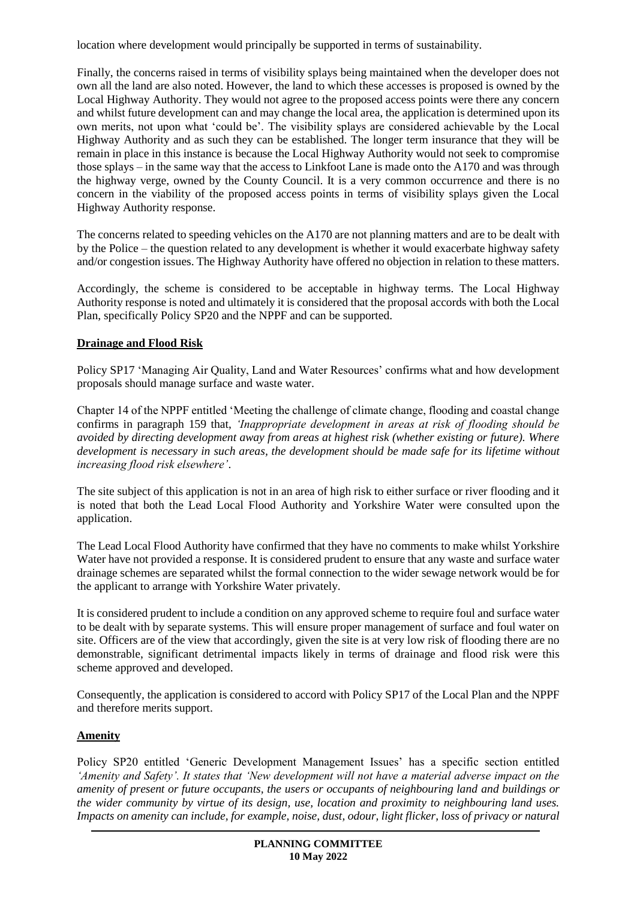location where development would principally be supported in terms of sustainability.

Finally, the concerns raised in terms of visibility splays being maintained when the developer does not own all the land are also noted. However, the land to which these accesses is proposed is owned by the Local Highway Authority. They would not agree to the proposed access points were there any concern and whilst future development can and may change the local area, the application is determined upon its own merits, not upon what 'could be'. The visibility splays are considered achievable by the Local Highway Authority and as such they can be established. The longer term insurance that they will be remain in place in this instance is because the Local Highway Authority would not seek to compromise those splays – in the same way that the access to Linkfoot Lane is made onto the A170 and was through the highway verge, owned by the County Council. It is a very common occurrence and there is no concern in the viability of the proposed access points in terms of visibility splays given the Local Highway Authority response.

The concerns related to speeding vehicles on the A170 are not planning matters and are to be dealt with by the Police – the question related to any development is whether it would exacerbate highway safety and/or congestion issues. The Highway Authority have offered no objection in relation to these matters.

Accordingly, the scheme is considered to be acceptable in highway terms. The Local Highway Authority response is noted and ultimately it is considered that the proposal accords with both the Local Plan, specifically Policy SP20 and the NPPF and can be supported.

# **Drainage and Flood Risk**

Policy SP17 'Managing Air Quality, Land and Water Resources' confirms what and how development proposals should manage surface and waste water.

Chapter 14 of the NPPF entitled 'Meeting the challenge of climate change, flooding and coastal change confirms in paragraph 159 that, *'Inappropriate development in areas at risk of flooding should be avoided by directing development away from areas at highest risk (whether existing or future). Where development is necessary in such areas, the development should be made safe for its lifetime without increasing flood risk elsewhere'*.

The site subject of this application is not in an area of high risk to either surface or river flooding and it is noted that both the Lead Local Flood Authority and Yorkshire Water were consulted upon the application.

The Lead Local Flood Authority have confirmed that they have no comments to make whilst Yorkshire Water have not provided a response. It is considered prudent to ensure that any waste and surface water drainage schemes are separated whilst the formal connection to the wider sewage network would be for the applicant to arrange with Yorkshire Water privately.

It is considered prudent to include a condition on any approved scheme to require foul and surface water to be dealt with by separate systems. This will ensure proper management of surface and foul water on site. Officers are of the view that accordingly, given the site is at very low risk of flooding there are no demonstrable, significant detrimental impacts likely in terms of drainage and flood risk were this scheme approved and developed.

Consequently, the application is considered to accord with Policy SP17 of the Local Plan and the NPPF and therefore merits support.

# **Amenity**

Policy SP20 entitled 'Generic Development Management Issues' has a specific section entitled *'Amenity and Safety'. It states that 'New development will not have a material adverse impact on the amenity of present or future occupants, the users or occupants of neighbouring land and buildings or the wider community by virtue of its design, use, location and proximity to neighbouring land uses. Impacts on amenity can include, for example, noise, dust, odour, light flicker, loss of privacy or natural*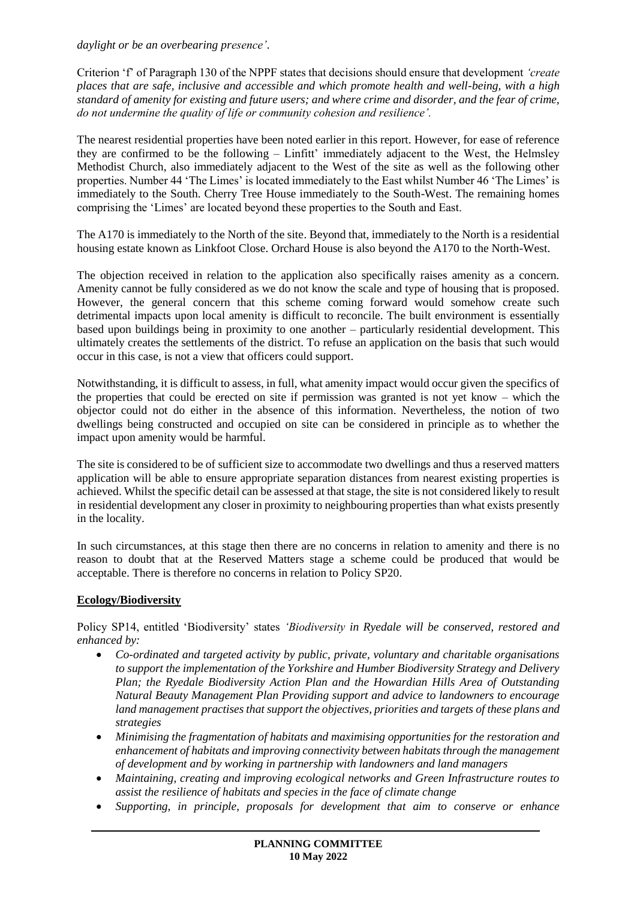*daylight or be an overbearing presence'*.

Criterion 'f' of Paragraph 130 of the NPPF states that decisions should ensure that development *'create places that are safe, inclusive and accessible and which promote health and well-being, with a high standard of amenity for existing and future users; and where crime and disorder, and the fear of crime, do not undermine the quality of life or community cohesion and resilience'.*

The nearest residential properties have been noted earlier in this report. However, for ease of reference they are confirmed to be the following – Linfitt' immediately adjacent to the West, the Helmsley Methodist Church, also immediately adjacent to the West of the site as well as the following other properties. Number 44 'The Limes' is located immediately to the East whilst Number 46 'The Limes' is immediately to the South. Cherry Tree House immediately to the South-West. The remaining homes comprising the 'Limes' are located beyond these properties to the South and East.

The A170 is immediately to the North of the site. Beyond that, immediately to the North is a residential housing estate known as Linkfoot Close. Orchard House is also beyond the A170 to the North-West.

The objection received in relation to the application also specifically raises amenity as a concern. Amenity cannot be fully considered as we do not know the scale and type of housing that is proposed. However, the general concern that this scheme coming forward would somehow create such detrimental impacts upon local amenity is difficult to reconcile. The built environment is essentially based upon buildings being in proximity to one another – particularly residential development. This ultimately creates the settlements of the district. To refuse an application on the basis that such would occur in this case, is not a view that officers could support.

Notwithstanding, it is difficult to assess, in full, what amenity impact would occur given the specifics of the properties that could be erected on site if permission was granted is not yet know – which the objector could not do either in the absence of this information. Nevertheless, the notion of two dwellings being constructed and occupied on site can be considered in principle as to whether the impact upon amenity would be harmful.

The site is considered to be of sufficient size to accommodate two dwellings and thus a reserved matters application will be able to ensure appropriate separation distances from nearest existing properties is achieved. Whilst the specific detail can be assessed at that stage, the site is not considered likely to result in residential development any closer in proximity to neighbouring properties than what exists presently in the locality.

In such circumstances, at this stage then there are no concerns in relation to amenity and there is no reason to doubt that at the Reserved Matters stage a scheme could be produced that would be acceptable. There is therefore no concerns in relation to Policy SP20.

# **Ecology/Biodiversity**

Policy SP14, entitled 'Biodiversity' states *'Biodiversity in Ryedale will be conserved, restored and enhanced by:* 

- *Co-ordinated and targeted activity by public, private, voluntary and charitable organisations to support the implementation of the Yorkshire and Humber Biodiversity Strategy and Delivery Plan; the Ryedale Biodiversity Action Plan and the Howardian Hills Area of Outstanding Natural Beauty Management Plan Providing support and advice to landowners to encourage land management practises that support the objectives, priorities and targets of these plans and strategies*
- *Minimising the fragmentation of habitats and maximising opportunities for the restoration and enhancement of habitats and improving connectivity between habitats through the management of development and by working in partnership with landowners and land managers*
- *Maintaining, creating and improving ecological networks and Green Infrastructure routes to assist the resilience of habitats and species in the face of climate change*
- *Supporting, in principle, proposals for development that aim to conserve or enhance*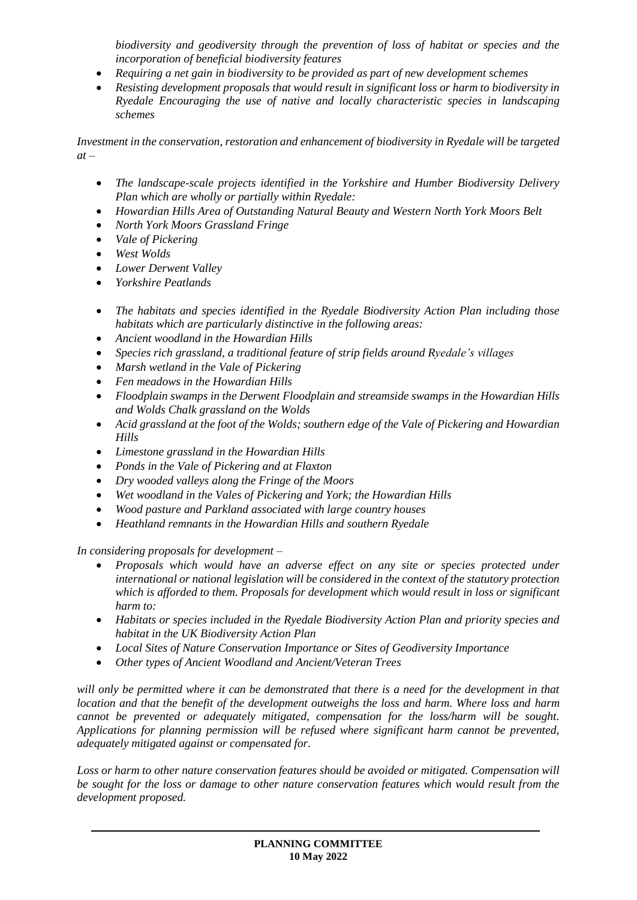*biodiversity and geodiversity through the prevention of loss of habitat or species and the incorporation of beneficial biodiversity features* 

- *Requiring a net gain in biodiversity to be provided as part of new development schemes*
- *Resisting development proposals that would result in significant loss or harm to biodiversity in Ryedale Encouraging the use of native and locally characteristic species in landscaping schemes*

*Investment in the conservation, restoration and enhancement of biodiversity in Ryedale will be targeted at –*

- *The landscape-scale projects identified in the Yorkshire and Humber Biodiversity Delivery Plan which are wholly or partially within Ryedale:*
- *Howardian Hills Area of Outstanding Natural Beauty and Western North York Moors Belt*
- *North York Moors Grassland Fringe*
- *Vale of Pickering*
- *West Wolds*
- *Lower Derwent Valley*
- *Yorkshire Peatlands*
- *The habitats and species identified in the Ryedale Biodiversity Action Plan including those habitats which are particularly distinctive in the following areas:*
- *Ancient woodland in the Howardian Hills*
- *Species rich grassland, a traditional feature of strip fields around Ryedale's villages*
- *Marsh wetland in the Vale of Pickering*
- *Fen meadows in the Howardian Hills*
- *Floodplain swamps in the Derwent Floodplain and streamside swamps in the Howardian Hills and Wolds Chalk grassland on the Wolds*
- *Acid grassland at the foot of the Wolds; southern edge of the Vale of Pickering and Howardian Hills*
- *Limestone grassland in the Howardian Hills*
- *Ponds in the Vale of Pickering and at Flaxton*
- *Dry wooded valleys along the Fringe of the Moors*
- *Wet woodland in the Vales of Pickering and York; the Howardian Hills*
- *Wood pasture and Parkland associated with large country houses*
- *Heathland remnants in the Howardian Hills and southern Ryedale*

*In considering proposals for development –*

- *Proposals which would have an adverse effect on any site or species protected under international or national legislation will be considered in the context of the statutory protection which is afforded to them. Proposals for development which would result in loss or significant harm to:*
- *Habitats or species included in the Ryedale Biodiversity Action Plan and priority species and habitat in the UK Biodiversity Action Plan*
- *Local Sites of Nature Conservation Importance or Sites of Geodiversity Importance*
- *Other types of Ancient Woodland and Ancient/Veteran Trees*

*will only be permitted where it can be demonstrated that there is a need for the development in that location and that the benefit of the development outweighs the loss and harm. Where loss and harm cannot be prevented or adequately mitigated, compensation for the loss/harm will be sought. Applications for planning permission will be refused where significant harm cannot be prevented, adequately mitigated against or compensated for.* 

*Loss or harm to other nature conservation features should be avoided or mitigated. Compensation will be sought for the loss or damage to other nature conservation features which would result from the development proposed.*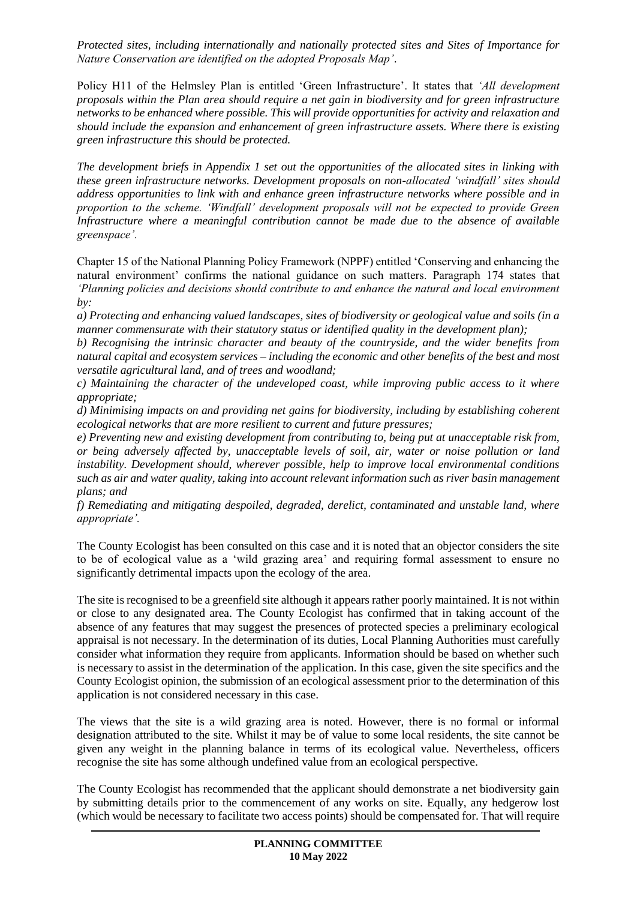*Protected sites, including internationally and nationally protected sites and Sites of Importance for Nature Conservation are identified on the adopted Proposals Map'*.

Policy H11 of the Helmsley Plan is entitled 'Green Infrastructure'. It states that *'All development proposals within the Plan area should require a net gain in biodiversity and for green infrastructure networks to be enhanced where possible. This will provide opportunities for activity and relaxation and should include the expansion and enhancement of green infrastructure assets. Where there is existing green infrastructure this should be protected.* 

*The development briefs in Appendix 1 set out the opportunities of the allocated sites in linking with these green infrastructure networks. Development proposals on non-allocated 'windfall' sites should address opportunities to link with and enhance green infrastructure networks where possible and in proportion to the scheme. 'Windfall' development proposals will not be expected to provide Green Infrastructure where a meaningful contribution cannot be made due to the absence of available greenspace'.*

Chapter 15 of the National Planning Policy Framework (NPPF) entitled 'Conserving and enhancing the natural environment' confirms the national guidance on such matters. Paragraph 174 states that *'Planning policies and decisions should contribute to and enhance the natural and local environment by:*

*a) Protecting and enhancing valued landscapes, sites of biodiversity or geological value and soils (in a manner commensurate with their statutory status or identified quality in the development plan);*

*b) Recognising the intrinsic character and beauty of the countryside, and the wider benefits from natural capital and ecosystem services – including the economic and other benefits of the best and most versatile agricultural land, and of trees and woodland;*

*c) Maintaining the character of the undeveloped coast, while improving public access to it where appropriate;*

*d) Minimising impacts on and providing net gains for biodiversity, including by establishing coherent ecological networks that are more resilient to current and future pressures;*

*e) Preventing new and existing development from contributing to, being put at unacceptable risk from, or being adversely affected by, unacceptable levels of soil, air, water or noise pollution or land instability. Development should, wherever possible, help to improve local environmental conditions such as air and water quality, taking into account relevant information such as river basin management plans; and*

*f) Remediating and mitigating despoiled, degraded, derelict, contaminated and unstable land, where appropriate'.*

The County Ecologist has been consulted on this case and it is noted that an objector considers the site to be of ecological value as a 'wild grazing area' and requiring formal assessment to ensure no significantly detrimental impacts upon the ecology of the area.

The site is recognised to be a greenfield site although it appears rather poorly maintained. It is not within or close to any designated area. The County Ecologist has confirmed that in taking account of the absence of any features that may suggest the presences of protected species a preliminary ecological appraisal is not necessary. In the determination of its duties, Local Planning Authorities must carefully consider what information they require from applicants. Information should be based on whether such is necessary to assist in the determination of the application. In this case, given the site specifics and the County Ecologist opinion, the submission of an ecological assessment prior to the determination of this application is not considered necessary in this case.

The views that the site is a wild grazing area is noted. However, there is no formal or informal designation attributed to the site. Whilst it may be of value to some local residents, the site cannot be given any weight in the planning balance in terms of its ecological value. Nevertheless, officers recognise the site has some although undefined value from an ecological perspective.

The County Ecologist has recommended that the applicant should demonstrate a net biodiversity gain by submitting details prior to the commencement of any works on site. Equally, any hedgerow lost (which would be necessary to facilitate two access points) should be compensated for. That will require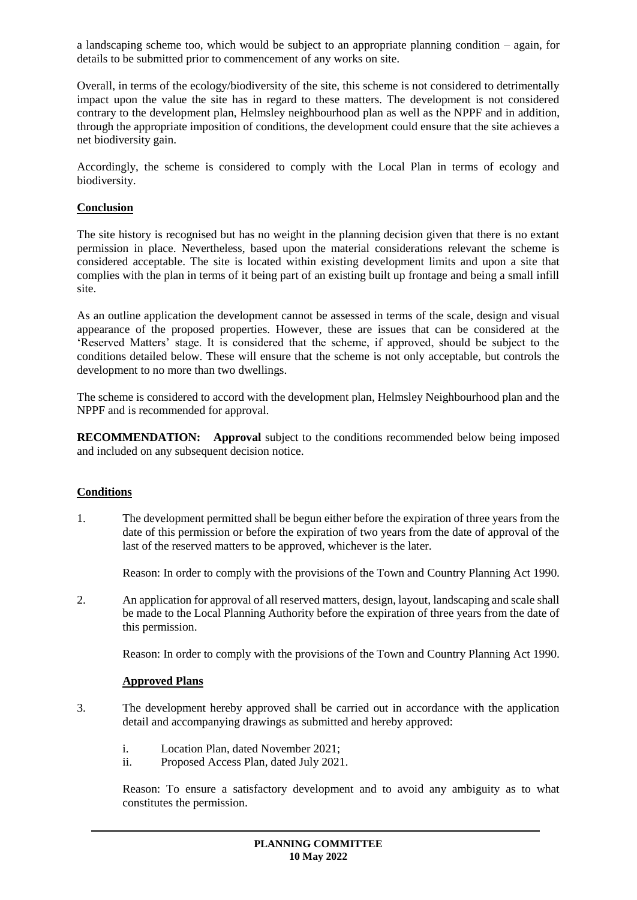a landscaping scheme too, which would be subject to an appropriate planning condition – again, for details to be submitted prior to commencement of any works on site.

Overall, in terms of the ecology/biodiversity of the site, this scheme is not considered to detrimentally impact upon the value the site has in regard to these matters. The development is not considered contrary to the development plan, Helmsley neighbourhood plan as well as the NPPF and in addition, through the appropriate imposition of conditions, the development could ensure that the site achieves a net biodiversity gain.

Accordingly, the scheme is considered to comply with the Local Plan in terms of ecology and biodiversity.

### **Conclusion**

The site history is recognised but has no weight in the planning decision given that there is no extant permission in place. Nevertheless, based upon the material considerations relevant the scheme is considered acceptable. The site is located within existing development limits and upon a site that complies with the plan in terms of it being part of an existing built up frontage and being a small infill site.

As an outline application the development cannot be assessed in terms of the scale, design and visual appearance of the proposed properties. However, these are issues that can be considered at the 'Reserved Matters' stage. It is considered that the scheme, if approved, should be subject to the conditions detailed below. These will ensure that the scheme is not only acceptable, but controls the development to no more than two dwellings.

The scheme is considered to accord with the development plan, Helmsley Neighbourhood plan and the NPPF and is recommended for approval.

**RECOMMENDATION: Approval** subject to the conditions recommended below being imposed and included on any subsequent decision notice.

#### **Conditions**

1. The development permitted shall be begun either before the expiration of three years from the date of this permission or before the expiration of two years from the date of approval of the last of the reserved matters to be approved, whichever is the later.

Reason: In order to comply with the provisions of the Town and Country Planning Act 1990.

2. An application for approval of all reserved matters, design, layout, landscaping and scale shall be made to the Local Planning Authority before the expiration of three years from the date of this permission.

Reason: In order to comply with the provisions of the Town and Country Planning Act 1990.

#### **Approved Plans**

- 3. The development hereby approved shall be carried out in accordance with the application detail and accompanying drawings as submitted and hereby approved:
	- i. Location Plan, dated November 2021;
	- ii. Proposed Access Plan, dated July 2021.

Reason: To ensure a satisfactory development and to avoid any ambiguity as to what constitutes the permission.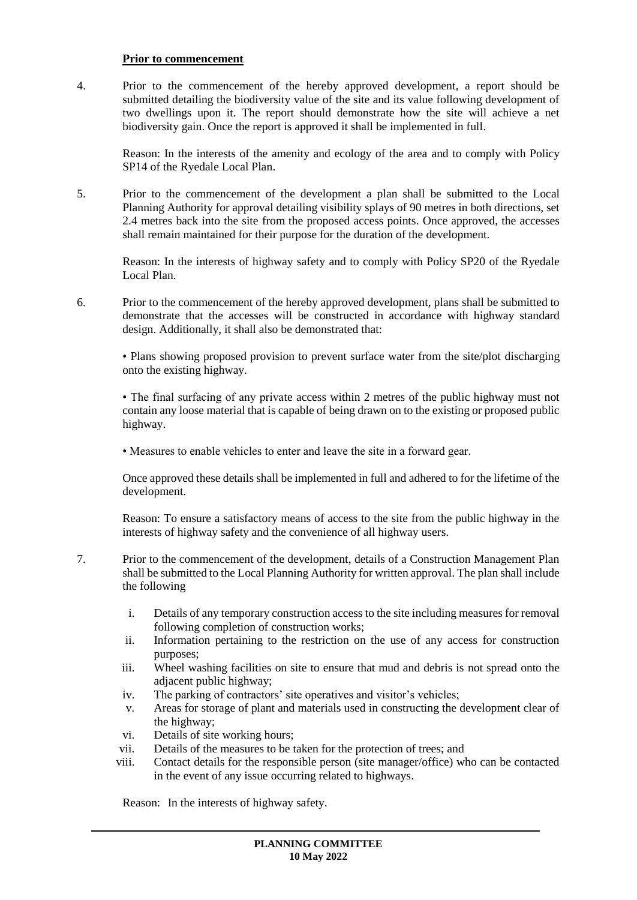#### **Prior to commencement**

4. Prior to the commencement of the hereby approved development, a report should be submitted detailing the biodiversity value of the site and its value following development of two dwellings upon it. The report should demonstrate how the site will achieve a net biodiversity gain. Once the report is approved it shall be implemented in full.

Reason: In the interests of the amenity and ecology of the area and to comply with Policy SP14 of the Ryedale Local Plan.

5. Prior to the commencement of the development a plan shall be submitted to the Local Planning Authority for approval detailing visibility splays of 90 metres in both directions, set 2.4 metres back into the site from the proposed access points. Once approved, the accesses shall remain maintained for their purpose for the duration of the development.

Reason: In the interests of highway safety and to comply with Policy SP20 of the Ryedale Local Plan.

6. Prior to the commencement of the hereby approved development, plans shall be submitted to demonstrate that the accesses will be constructed in accordance with highway standard design. Additionally, it shall also be demonstrated that:

• Plans showing proposed provision to prevent surface water from the site/plot discharging onto the existing highway.

• The final surfacing of any private access within 2 metres of the public highway must not contain any loose material that is capable of being drawn on to the existing or proposed public highway.

• Measures to enable vehicles to enter and leave the site in a forward gear.

Once approved these details shall be implemented in full and adhered to for the lifetime of the development.

Reason: To ensure a satisfactory means of access to the site from the public highway in the interests of highway safety and the convenience of all highway users.

- 7. Prior to the commencement of the development, details of a Construction Management Plan shall be submitted to the Local Planning Authority for written approval. The plan shall include the following
	- i. Details of any temporary construction access to the site including measures for removal following completion of construction works;
	- ii. Information pertaining to the restriction on the use of any access for construction purposes;
	- iii. Wheel washing facilities on site to ensure that mud and debris is not spread onto the adjacent public highway;
	- iv. The parking of contractors' site operatives and visitor's vehicles;
	- v. Areas for storage of plant and materials used in constructing the development clear of the highway;
	- vi. Details of site working hours;
	- vii. Details of the measures to be taken for the protection of trees; and
	- viii. Contact details for the responsible person (site manager/office) who can be contacted in the event of any issue occurring related to highways.

Reason: In the interests of highway safety.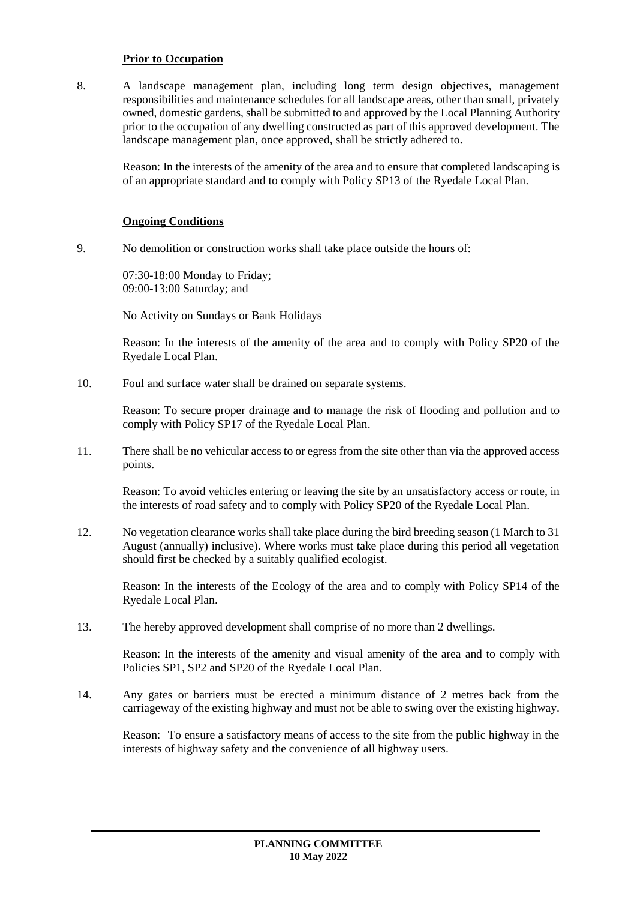#### **Prior to Occupation**

8. A landscape management plan, including long term design objectives, management responsibilities and maintenance schedules for all landscape areas, other than small, privately owned, domestic gardens, shall be submitted to and approved by the Local Planning Authority prior to the occupation of any dwelling constructed as part of this approved development. The landscape management plan, once approved, shall be strictly adhered to**.**

Reason: In the interests of the amenity of the area and to ensure that completed landscaping is of an appropriate standard and to comply with Policy SP13 of the Ryedale Local Plan.

### **Ongoing Conditions**

9. No demolition or construction works shall take place outside the hours of:

07:30-18:00 Monday to Friday; 09:00-13:00 Saturday; and

No Activity on Sundays or Bank Holidays

Reason: In the interests of the amenity of the area and to comply with Policy SP20 of the Ryedale Local Plan.

10. Foul and surface water shall be drained on separate systems.

Reason: To secure proper drainage and to manage the risk of flooding and pollution and to comply with Policy SP17 of the Ryedale Local Plan.

11. There shall be no vehicular access to or egress from the site other than via the approved access points.

Reason: To avoid vehicles entering or leaving the site by an unsatisfactory access or route, in the interests of road safety and to comply with Policy SP20 of the Ryedale Local Plan.

12. No vegetation clearance works shall take place during the bird breeding season (1 March to 31 August (annually) inclusive). Where works must take place during this period all vegetation should first be checked by a suitably qualified ecologist.

Reason: In the interests of the Ecology of the area and to comply with Policy SP14 of the Ryedale Local Plan.

13. The hereby approved development shall comprise of no more than 2 dwellings.

Reason: In the interests of the amenity and visual amenity of the area and to comply with Policies SP1, SP2 and SP20 of the Ryedale Local Plan.

14. Any gates or barriers must be erected a minimum distance of 2 metres back from the carriageway of the existing highway and must not be able to swing over the existing highway.

Reason: To ensure a satisfactory means of access to the site from the public highway in the interests of highway safety and the convenience of all highway users.